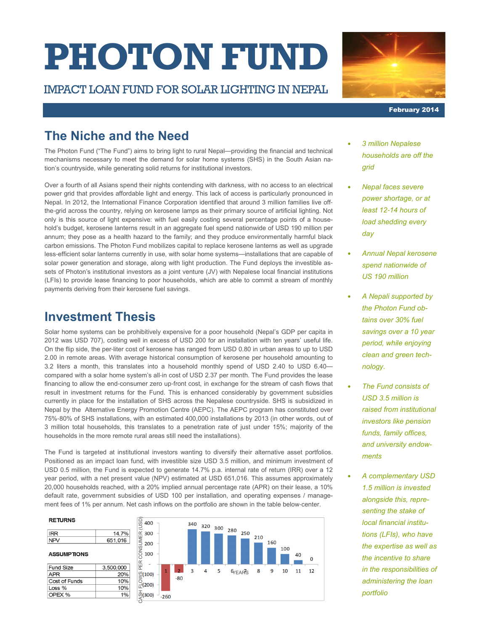# **PHOTON FUND**

#### IMPACT LOAN FUND FOR SOLAR LIGHTING IN NEPAL



February 2014

## **The Niche and the Need**

The Photon Fund ("The Fund") aims to bring light to rural Nepal—providing the financial and technical mechanisms necessary to meet the demand for solar home systems (SHS) in the South Asian nation's countryside, while generating solid returns for institutional investors.

Over a fourth of all Asians spend their nights contending with darkness, with no access to an electrical power grid that provides affordable light and energy. This lack of access is particularly pronounced in Nepal. In 2012, the International Finance Corporation identified that around 3 million families live offthe-grid across the country, relying on kerosene lamps as their primary source of artificial lighting. Not only is this source of light expensive: with fuel easily costing several percentage points of a household's budget, kerosene lanterns result in an aggregate fuel spend nationwide of USD 190 million per annum; they pose as a health hazard to the family; and they produce environmentally harmful black carbon emissions. The Photon Fund mobilizes capital to replace kerosene lanterns as well as upgrade less-efficient solar lanterns currently in use, with solar home systems—installations that are capable of solar power generation and storage, along with light production. The Fund deploys the investible assets of Photon's institutional investors as a joint venture (JV) with Nepalese local financial institutions (LFIs) to provide lease financing to poor households, which are able to commit a stream of monthly payments deriving from their kerosene fuel savings.

## **Investment Thesis**

Solar home systems can be prohibitively expensive for a poor household (Nepal's GDP per capita in 2012 was USD 707), costing well in excess of USD 200 for an installation with ten years' useful life. On the flip side, the per-liter cost of kerosene has ranged from USD 0.80 in urban areas to up to USD 2.00 in remote areas. With average historical consumption of kerosene per household amounting to 3.2 liters a month, this translates into a household monthly spend of USD 2.40 to USD 6.40 compared with a solar home system's all-in cost of USD 2.37 per month. The Fund provides the lease financing to allow the end-consumer zero up-front cost, in exchange for the stream of cash flows that result in investment returns for the Fund. This is enhanced considerably by government subsidies currently in place for the installation of SHS across the Nepalese countryside. SHS is subsidized in Nepal by the Alternative Energy Promotion Centre (AEPC). The AEPC program has constituted over 75%-80% of SHS installations, with an estimated 400,000 installations by 2013 (in other words, out of 3 million total households, this translates to a penetration rate of just under 15%; majority of the households in the more remote rural areas still need the installations).

The Fund is targeted at institutional investors wanting to diversify their alternative asset portfolios. Positioned as an impact loan fund, with investible size USD 3.5 million, and minimum investment of USD 0.5 million, the Fund is expected to generate 14.7% p.a. internal rate of return (IRR) over a 12 year period, with a net present value (NPV) estimated at USD 651,016. This assumes approximately 20,000 households reached, with a 20% implied annual percentage rate (APR) on their lease, a 10% default rate, government subsidies of USD 100 per installation, and operating expenses / management fees of 1% per annum. Net cash inflows on the portfolio are shown in the table below-center.

#### **RETURNS**

| <b>IRR</b> | 14.7%   |
|------------|---------|
| NPV        | 651,016 |
|            |         |

| <b>ASSUMPTIONS</b> |
|--------------------|
|--------------------|

| <b>Fund Size</b> | 3,500,000 |
|------------------|-----------|
| APR              | 20%       |
| Cost of Funds    | 10%       |
| Loss %           | 10%       |
| OPEX %           | 1%        |
|                  |           |



- *3 million Nepalese households are off the grid*
- *Nepal faces severe power shortage, or at least 12*-*14 hours of load shedding every day*
- *Annual Nepal kerosene spend nationwide of US 190 million*
- *A Nepali supported by the Photon Fund obtains over 30% fuel savings over a 10 year period, while enjoying clean and green technology.*
- *The Fund consists of USD 3.5 million is raised from institutional investors like pension funds, family offices, and university endowments*
- *A complementary USD 1.5 million is invested alongside this, representing the stake of local financial institutions (LFIs), who have the expertise as well as the incentive to share in the responsibilities of administering the loan portfolio*